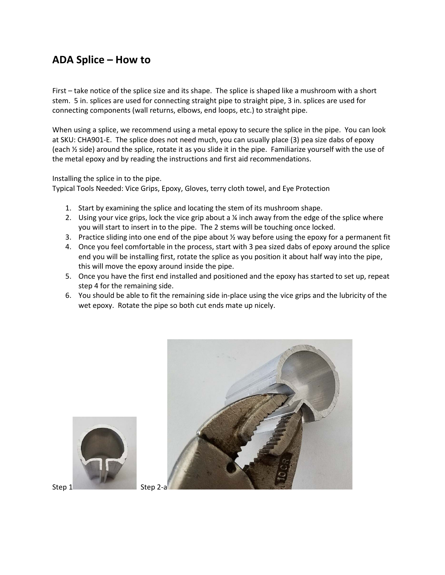## **ADA Splice – How to**

First – take notice of the splice size and its shape. The splice is shaped like a mushroom with a short stem. 5 in. splices are used for connecting straight pipe to straight pipe, 3 in. splices are used for connecting components (wall returns, elbows, end loops, etc.) to straight pipe.

When using a splice, we recommend using a metal epoxy to secure the splice in the pipe. You can look at SKU: CHA901-E. The splice does not need much, you can usually place (3) pea size dabs of epoxy (each ½ side) around the splice, rotate it as you slide it in the pipe. Familiarize yourself with the use of the metal epoxy and by reading the instructions and first aid recommendations.

Installing the splice in to the pipe.

Typical Tools Needed: Vice Grips, Epoxy, Gloves, terry cloth towel, and Eye Protection

- 1. Start by examining the splice and locating the stem of its mushroom shape.
- 2. Using your vice grips, lock the vice grip about a  $\frac{1}{4}$  inch away from the edge of the splice where you will start to insert in to the pipe. The 2 stems will be touching once locked.
- 3. Practice sliding into one end of the pipe about  $\frac{1}{2}$  way before using the epoxy for a permanent fit
- 4. Once you feel comfortable in the process, start with 3 pea sized dabs of epoxy around the splice end you will be installing first, rotate the splice as you position it about half way into the pipe, this will move the epoxy around inside the pipe.
- 5. Once you have the first end installed and positioned and the epoxy has started to set up, repeat step 4 for the remaining side.
- 6. You should be able to fit the remaining side in-place using the vice grips and the lubricity of the wet epoxy. Rotate the pipe so both cut ends mate up nicely.



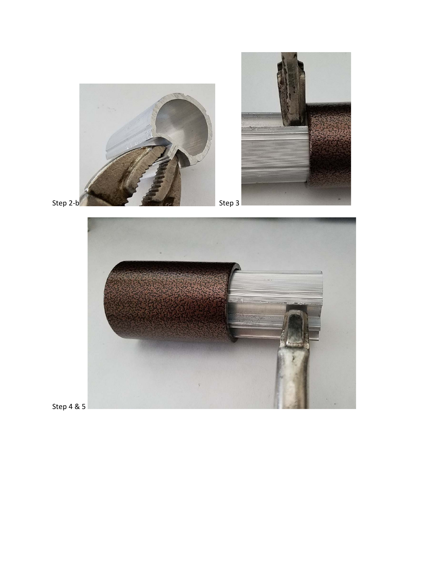